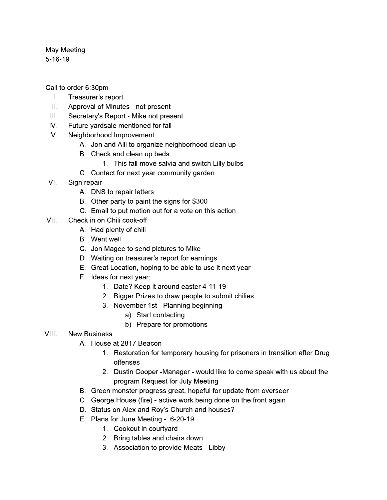May Meeting  $5 - 16 - 19$ 

Call to order 6:30pm

- $\mathbf{L}$ Treasurer's report
- $II.$ Approval of Minutes - not present
- $III.$ Secretary's Report - Mike not present
- $IV.$ Future yardsale mentioned for fall
- $V_{\cdot}$ Neighborhood Improvement
	- A. Jon and Alli to organize neighborhood clean up
	- B. Check and clean up beds
		- 1. This fall move salvia and switch Lilly bulbs
	- C. Contact for next year community garden
- $VI_{-}$ Sign repair
	- A. DNS to repair letters
	- B. Other party to paint the signs for \$300
	- C. Email to put motion out for a vote on this action
- VII. Check in on Chili cook-off
	- A. Had plenty of chili
	- **B.** Went well
	- C. Jon Magee to send pictures to Mike
	- D. Waiting on treasurer's report for earnings
	- E. Great Location, hoping to be able to use it next year
	- F. Ideas for next year:
		- 1. Date? Keep it around easter 4-11-19
		- 2. Bigger Prizes to draw people to submit chilies
		- 3. November 1st Planning beginning
			- a) Start contacting
			- b) Prepare for promotions

## VIII. **New Business**

- A. House at 2817 Beacon -
	- 1. Restoration for temporary housing for prisoners in transition after Drug offenses
	- 2. Dustin Cooper -Manager would like to come speak with us about the program Request for July Meeting
- B. Green monster progress great, hopeful for update from overseer
- C. George House (fire) active work being done on the front again
- D. Status on Alex and Roy's Church and houses?
- E. Plans for June Meeting 6-20-19
	- 1. Cookout in courtyard
	- 2. Bring tables and chairs down
	- 3. Association to provide Meats Libby